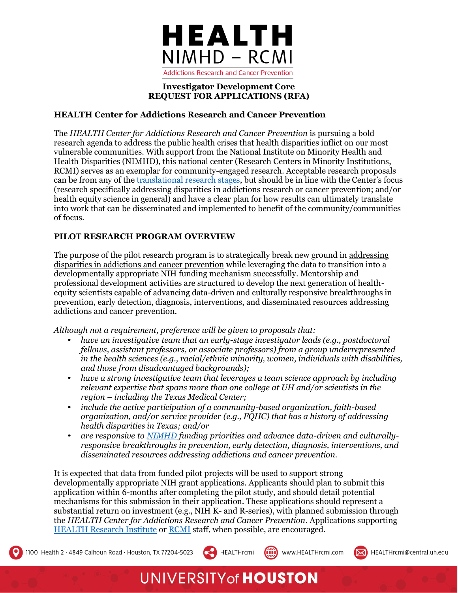

#### **Investigator Development Core REQUEST FOR APPLICATIONS (RFA)**

### **HEALTH Center for Addictions Research and Cancer Prevention**

The *HEALTH Center for Addictions Research and Cancer Prevention* is pursuing a bold research agenda to address the public health crises that health disparities inflict on our most vulnerable communities. With support from the National Institute on Minority Health and Health Disparities (NIMHD), this national center (Research Centers in Minority Institutions, RCMI) serves as an exemplar for community-engaged research. Acceptable research proposals can be from any of th[e translational research stages](https://tri.uams.edu/about-tri/what-is-translational-research/#%3A~%3Atext%3DTranslational%20research%20seeks%20to%20produce%2Cquickly%20and%20efficiently%20into%20practice), but should be in line with the Center's focus (research specifically addressing disparities in addictions research or cancer prevention; and/or health equity science in general) and have a clear plan for how results can ultimately translate into work that can be disseminated and implemented to benefit of the community/communities of focus.

## **PILOT RESEARCH PROGRAM OVERVIEW**

The purpose of the pilot research program is to strategically break new ground in addressing disparities in addictions and cancer prevention while leveraging the data to transition into a developmentally appropriate NIH funding mechanism successfully. Mentorship and professional development activities are structured to develop the next generation of healthequity scientists capable of advancing data-driven and culturally responsive breakthroughs in prevention, early detection, diagnosis, interventions, and disseminated resources addressing addictions and cancer prevention.

*Although not a requirement, preference will be given to proposals that:*

- *have an investigative team that an early-stage investigator leads (e.g., postdoctoral fellows, assistant professors, or associate professors) from a group underrepresented in the health sciences (e.g., racial/ethnic minority, women, individuals with disabilities, and those from disadvantaged backgrounds);*
- *have a strong investigative team that leverages a team science approach by including relevant expertise that spans more than one college at UH and/or scientists in the region – including the Texas Medical Center;*
- *include the active participation of a community-based organization, faith-based organization, and/or service provider (e.g., FQHC) that has a history of addressing health disparities in Texas; and/or*
- *are responsive to [NIMHD](https://www.nimhd.nih.gov/about/overview/strategic-plan.html) funding priorities and advance data-driven and culturallyresponsive breakthroughs in prevention, early detection, diagnosis, interventions, and disseminated resources addressing addictions and cancer prevention.*

It is expected that data from funded pilot projects will be used to support strong developmentally appropriate NIH grant applications. Applicants should plan to submit this application within 6-months after completing the pilot study, and should detail potential mechanisms for this submission in their application. These applications should represent a substantial return on investment (e.g., NIH K- and R-series), with planned submission through the *HEALTH Center for Addictions Research and Cancer Prevention*. Applications supporting [HEALTH Research Institute](https://hri.uh.edu/) or [RCMI](http://healthrcmi.com/) staff, when possible, are encouraged.

HEALTHrcmi

((iii) www.HEALTHrcmi.com



# **UNIVERSITY of HOUSTON**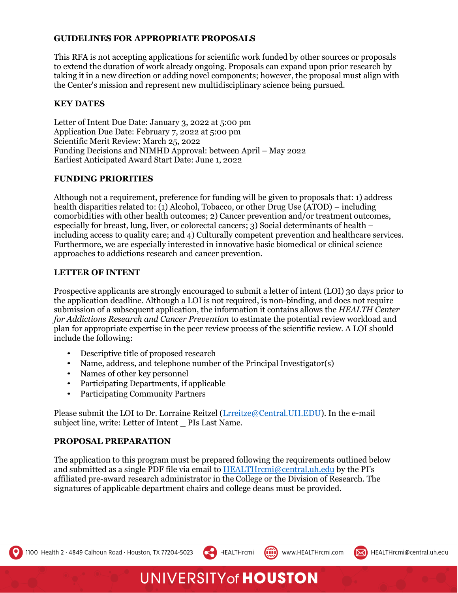#### **GUIDELINES FOR APPROPRIATE PROPOSALS**

This RFA is not accepting applications for scientific work funded by other sources or proposals to extend the duration of work already ongoing. Proposals can expand upon prior research by taking it in a new direction or adding novel components; however, the proposal must align with the Center's mission and represent new multidisciplinary science being pursued.

#### **KEY DATES**

Letter of Intent Due Date: January 3, 2022 at 5:00 pm Application Due Date: February 7, 2022 at 5:00 pm Scientific Merit Review: March 25, 2022 Funding Decisions and NIMHD Approval: between April – May 2022 Earliest Anticipated Award Start Date: June 1, 2022

#### **FUNDING PRIORITIES**

Although not a requirement, preference for funding will be given to proposals that: 1) address health disparities related to: (1) Alcohol, Tobacco, or other Drug Use (ATOD) – including comorbidities with other health outcomes; 2) Cancer prevention and/or treatment outcomes, especially for breast, lung, liver, or colorectal cancers; 3) Social determinants of health – including access to quality care; and 4) Culturally competent prevention and healthcare services. Furthermore, we are especially interested in innovative basic biomedical or clinical science approaches to addictions research and cancer prevention.

#### **LETTER OF INTENT**

Prospective applicants are strongly encouraged to submit a letter of intent (LOI) 30 days prior to the application deadline. Although a LOI is not required, is non-binding, and does not require submission of a subsequent application, the information it contains allows the *HEALTH Center for Addictions Research and Cancer Prevention* to estimate the potential review workload and plan for appropriate expertise in the peer review process of the scientific review. A LOI should include the following:

- Descriptive title of proposed research
- Name, address, and telephone number of the Principal Investigator(s)
- Names of other key personnel
- Participating Departments, if applicable
- Participating Community Partners

Please submit the LOI to Dr. Lorraine Reitzel (Lrreitze@Central.UH.EDU). In the e-mail subject line, write: Letter of Intent PIs Last Name.

#### **PROPOSAL PREPARATION**

The application to this program must be prepared following the requirements outlined below and submitted as a single PDF file via email to [HEALTHrcmi@central.uh.edu](mailto:HEALTHrcmi@central.uh.edu) by the PI's affiliated pre-award research administrator in the College or the Division of Research. The signatures of applicable department chairs and college deans must be provided.

HEALTHrcmi

**UNIVERSITY of HOUSTON** 

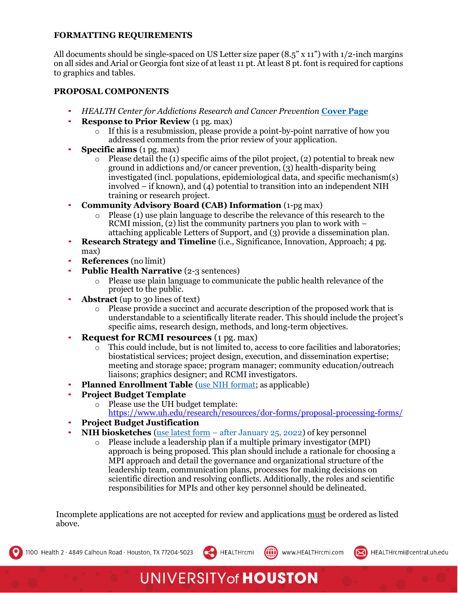## **FORMATTING REQUIREMENTS**

All documents should be single-spaced on US Letter size paper  $(8.5" \times 11")$  with 1/2-inch margins on all sides and Arial or Georgia font size of at least 11 pt. At least 8 pt. font is required for captions to graphics and tables.

### **PROPOSAL COMPONENTS**

- *HEALTH Center for Addictions Research and Cancer Prevention* **[Cover](https://11ddd2c0-7b50-4d1c-b56f-9500d5137230.filesusr.com/ugd/cdee46_679c572407c7490e89bbd20a4a1d1ec9.pdf) Page**
- **Response to Prior Review** (1 pg. max)
	- $\circ$  If this is a resubmission, please provide a point-by-point narrative of how you addressed comments from the prior review of your application.
- **Specific aims** (1 pg. max)
	- $\circ$  Please detail the (1) specific aims of the pilot project, (2) potential to break new ground in addictions and/or cancer prevention, (3) health-disparity being investigated (incl. populations, epidemiological data, and specific mechanism(s) involved – if known), and (4) potential to transition into an independent NIH training or research project.
- **Community Advisory Board (CAB) Information** (1-pg max)
	- o Please (1) use plain language to describe the relevance of this research to the RCMI mission, (2) list the community partners you plan to work with – attaching applicable Letters of Support, and (3) provide a dissemination plan.
- **Research Strategy and Timeline** (i.e., Significance, Innovation, Approach; 4 pg. max)
- **References** (no limit)
- **Public Health Narrative (2-3 sentences)** 
	- o Please use plain language to communicate the public health relevance of the project to the public.
- **Abstract** (up to 30 lines of text)
	- o Please provide a succinct and accurate description of the proposed work that is understandable to a scientifically literate reader. This should include the project's specific aims, research design, methods, and long-term objectives.
- **Request for RCMI resources** (1 pg. max)
	- $\circ$  This could include, but is not limited to, access to core facilities and laboratories; biostatistical services; project design, execution, and dissemination expertise; meeting and storage space; program manager; community education/outreach liaisons; graphics designer; and RCMI investigators.
- **Planned Enrollment Table** [\(use NIH format; a](https://grants.nih.gov/grants/funding/phs398/enrollment.pdf)s applicable)
- **Project Budget Template**
	- o Please use the UH budget template:
		- <https://www.uh.edu/research/resources/dor-forms/proposal-processing-forms/>
- **Project Budget Justification**
- **NIH biosketches** (use latest form [after January 25, 2022\) o](https://grants.nih.gov/grants/forms/biosketch.htm)f key personnel
	- o Please include a leadership plan if a multiple primary investigator (MPI) approach is being proposed. This plan should include a rationale for choosing a MPI approach and detail the governance and organizational structure of the leadership team, communication plans, processes for making decisions on scientific direction and resolving conflicts. Additionally, the roles and scientific responsibilities for MPIs and other key personnel should be delineated.

Incomplete applications are not accepted for review and applications must be ordered as listed above.

HEALTHrcmi

**UNIVERSITY of HOUSTON** 



((iii) www.HEALTHrcmi.com

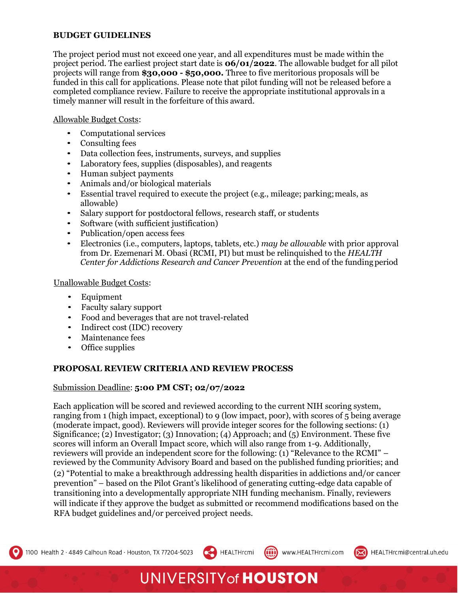### **BUDGET GUIDELINES**

The project period must not exceed one year, and all expenditures must be made within the project period. The earliest project start date is **06/01/2022**. The allowable budget for all pilot projects will range from **\$30,000 - \$50,000.** Three to five meritorious proposals will be funded in this call for applications. Please note that pilot funding will not be released before a completed compliance review. Failure to receive the appropriate institutional approvals in a timely manner will result in the forfeiture of this award.

### Allowable Budget Costs:

- Computational services
- Consulting fees
- Data collection fees, instruments, surveys, and supplies
- Laboratory fees, supplies (disposables), and reagents
- Human subject payments
- Animals and/or biological materials
- Essential travel required to execute the project (e.g., mileage; parking;meals, as allowable)
- Salary support for postdoctoral fellows, research staff, or students
- Software (with sufficient justification)
- Publication/open access fees
- Electronics (i.e., computers, laptops, tablets, etc.) *may be allowable* with prior approval from Dr. Ezemenari M. Obasi (RCMI, PI) but must be relinquished to the *HEALTH Center for Addictions Research and Cancer Prevention* at the end of the funding period

#### Unallowable Budget Costs:

- Equipment
- Faculty salary support
- Food and beverages that are not travel-related
- Indirect cost (IDC) recovery
- Maintenance fees
- Office supplies

## **PROPOSAL REVIEW CRITERIA AND REVIEW PROCESS**

#### Submission Deadline: **5:00 PM CST; 02/07/2022**

Each application will be scored and reviewed according to the current NIH scoring system, ranging from 1 (high impact, exceptional) to 9 (low impact, poor), with scores of 5 being average (moderate impact, good). Reviewers will provide integer scores for the following sections: (1) Significance; (2) Investigator; (3) Innovation; (4) Approach; and (5) Environment. These five scores will inform an Overall Impact score, which will also range from 1-9. Additionally, reviewers will provide an independent score for the following: (1) "Relevance to the RCMI" – reviewed by the Community Advisory Board and based on the published funding priorities; and (2) "Potential to make a breakthrough addressing health disparities in addictions and/or cancer prevention" – based on the Pilot Grant's likelihood of generating cutting-edge data capable of transitioning into a developmentally appropriate NIH funding mechanism. Finally, reviewers will indicate if they approve the budget as submitted or recommend modifications based on the RFA budget guidelines and/or perceived project needs.

HEALTHrcmi

**UNIVERSITY of HOUSTON** 

((iii) www.HEALTHrcmi.com